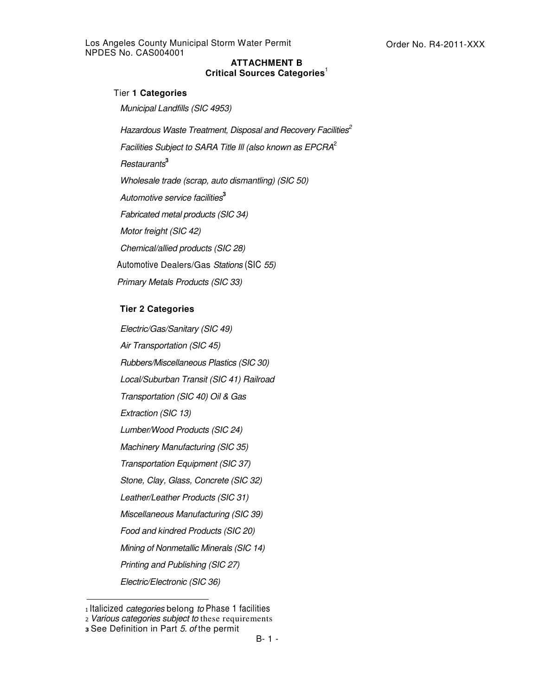## **ATTACHMENT B Critical Sources Categories** 1

## Tier **1 Categories**

*Municipal Landfills (SIC 4953)*

*Hazardous Waste Treatment, Disposal and Recovery Facilities 2 Facilities Subject to SARA Title Ill (also known as EPCRA* 2 *Restaurants* **3** *Wholesale trade (scrap, auto dismantling) (SIC 50) Automotive service facilities* **3** *Fabricated metal products (SIC 34) Motor freight (SIC 42) Chemical/allied products (SIC 28)* Automotive Dealers/Gas *Stations* (SIC *55) Primary Metals Products (SIC 33)*

## **Tier 2 Categories**

*Electric/Gas/Sanitary (SIC 49) Air Transportation (SIC 45) Rubbers/Miscellaneous Plastics (SIC 30) Local/Suburban Transit (SIC 41) Railroad Transportation (SIC 40) Oil & Gas Extraction (SIC 13) Lumber/Wood Products (SIC 24) Machinery Manufacturing (SIC 35) Transportation Equipment (SIC 37) Stone, Clay, Glass, Concrete (SIC 32) Leather/Leather Products (SIC 31) Miscellaneous Manufacturing (SIC 39) Food and kindred Products (SIC 20) Mining of Nonmetallic Minerals (SIC 14) Printing and Publishing (SIC 27)*

*Electric/Electronic (SIC 36)*

Italicized *categories* belong *to* Phase 1 facilities

*Various categories subject to* these requirements

See Definition in Part *5. of* the permit